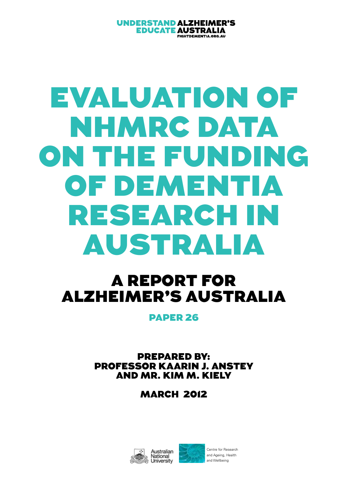#### **UNDERSTAND ALZHEIMER'S EDUCATE AUSTRALIA** FIGHTDEMENTIA.ORG.AU

# Evaluation of NHMRC DATA on the Funding of Dementia Research in Australia

## A report for Alzheimer's Australia

PAPER 26

Prepared by: professor Kaarin J. Anstey and mr. Kim M. Kiely

**MARCH 2012** 

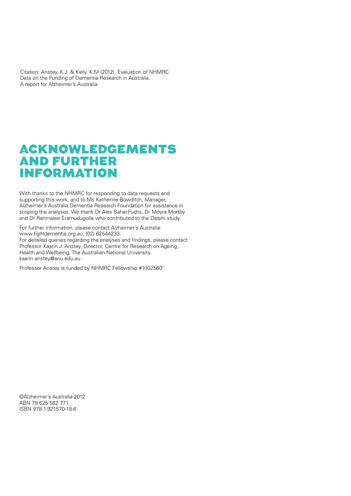Citation: Anstey, K.J, & Kiely, K.M (2012). Evaluation of NHMRC Data on the Funding of Dementia Research in Australia. A report for Alzheimer's Australia.

## Acknowledgements and Further **INFORMATION**

With thanks to the NHMRC for responding to data requests and supporting this work, and to Ms Katherine Bowditch, Manager, Alzheimer's Australia Dementia Research Foundation for assistance in scoping the analyses. We thank Dr Alex Bahar-Fuchs, Dr Moyra Mortby and Dr Ranmalee Eramudugolla who contributed to the Delphi study.

For further information, please contact Alzheimer's Australia: www.fightdementia.org.au; (02) 62544233.

For detailed queries regarding the analyses and findings, please contact Professor Kaarin J. Anstey, Director, Centre for Research on Ageing, Health and Wellbeing, The Australian National University. kaarin.anstey@anu.edu.au

Professor Anstey is funded by NHMRC Fellowship #1002560".

©Alzheimer's Australia 2012 ABN 79 625 582 771 ISBN 978-1-921570-18-6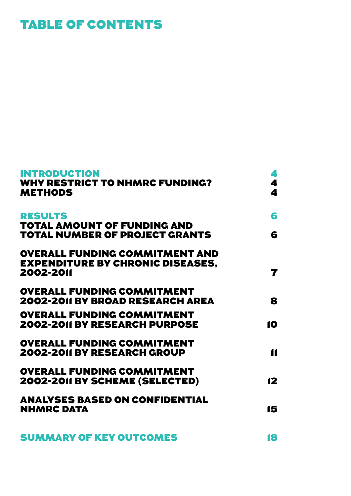## Table of Contents

| <b>INTRODUCTION</b><br><b>WHY RESTRICT TO NHMRC FUNDING?</b><br><b>METHODS</b>                | 4<br>4<br>4    |
|-----------------------------------------------------------------------------------------------|----------------|
| <b>RESULTS</b>                                                                                | 6              |
| <b>TOTAL AMOUNT OF FUNDING AND</b><br><b>TOTAL NUMBER OF PROJECT GRANTS</b>                   | 6              |
| <b>OVERALL FUNDING COMMITMENT AND</b><br><b>EXPENDITURE BY CHRONIC DISEASES.</b><br>2002-2011 | 7              |
| <b>OVERALL FUNDING COMMITMENT</b><br><b>2002-2011 BY BROAD RESEARCH AREA</b>                  | 8              |
| <b>OVERALL FUNDING COMMITMENT</b><br><b>2002-2011 BY RESEARCH PURPOSE</b>                     | 10             |
| <b>OVERALL FUNDING COMMITMENT</b><br><b>2002-2011 BY RESEARCH GROUP</b>                       | $\blacksquare$ |
| <b>OVERALL FUNDING COMMITMENT</b><br><b>2002-2011 BY SCHEME (SELECTED)</b>                    | 12             |
| <b>ANALYSES BASED ON CONFIDENTIAL</b><br><b>NHMRC DATA</b>                                    | 15             |
| <b>SUMMARY OF KEY OUTCOMES</b>                                                                | 18             |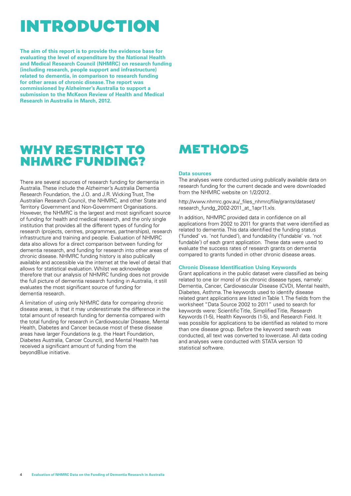## **INTRODUCTION**

**The aim of this report is to provide the evidence base for evaluating the level of expenditure by the National Health and Medical Research Council (NHMRC) on research funding (including research, people support and infrastructure) related to dementia, in comparison to research funding for other areas of chronic disease. The report was commissioned by Alzheimer's Australia to support a submission to the McKeon Review of Health and Medical Research in Australia in March, 2012.** 

## WHY RESTRICT TO NHMRC funding?

There are several sources of research funding for dementia in Australia. These include the Alzheimer's Australia Dementia Research Foundation, the J.O. and J.R. Wicking Trust, The Australian Research Council, the NHMRC, and other State and Territory Government and Non-Government Organisations. However, the NHMRC is the largest and most significant source of funding for health and medical research, and the only single institution that provides all the different types of funding for research (projects, centres, programmes, partnerships), research infrastructure and training and people. Evaluation of NHMRC data also allows for a direct comparison between funding for dementia research, and funding for research into other areas of chronic disease. NHMRC funding history is also publically available and accessible via the internet at the level of detail that allows for statistical evaluation. Whilst we acknowledge therefore that our analysis of NHMRC funding does not provide the full picture of dementia research funding in Australia, it still evaluates the most significant source of funding for dementia research.

A limitation of using only NHMRC data for comparing chronic disease areas, is that it may underestimate the difference in the total amount of research funding for dementia compared with the total funding for research in Cardiovascular Disease, Mental Health, Diabetes and Cancer because most of these disease areas have larger Foundations (e.g. the Heart Foundation, Diabetes Australia, Cancer Council), and Mental Health has received a significant amount of funding from the beyondBlue initiative.

## **METHODS**

#### **Data sources**

The analyses were conducted using publically available data on research funding for the current decade and were downloaded from the NHMRC website on 1/2/2012.

http://www.nhmrc.gov.au/\_files\_nhmrc/file/grants/dataset/ research\_fundg\_2002-2011\_at\_1apr11.xls.

In addition, NHMRC provided data in confidence on all applications from 2002 to 2011 for grants that were identified as related to dementia. This data identified the funding status ('funded' vs. 'not funded'), and fundability ('fundable' vs. 'not fundable') of each grant application. These data were used to evaluate the success rates of research grants on dementia compared to grants funded in other chronic disease areas.

#### **Chronic Disease Identification Using Keywords**

Grant applications in the public dataset were classified as being related to one (or more) of six chronic disease types, namely: Dementia, Cancer, Cardiovascular Disease (CVD), Mental health, Diabetes, Asthma. The keywords used to identify disease related grant applications are listed in Table 1. The fields from the worksheet "Data Source 2002 to 2011" used to search for keywords were: Scientific Title, Simplified Title, Research Keywords (1-5), Health Keywords (1-5), and Research Field. It was possible for applications to be identified as related to more than one disease group. Before the keyword search was conducted, all text was converted to lowercase. All data coding and analyses were conducted with STATA version 10 statistical software.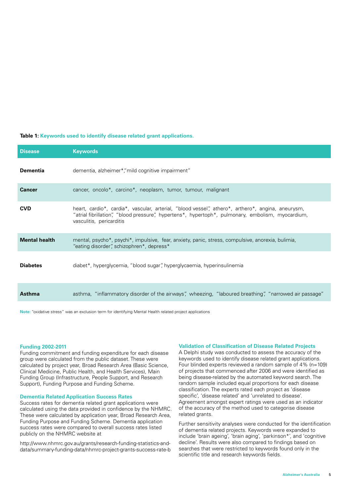#### **Table 1: Keywords used to identify disease related grant applications.**

| <b>Disease</b>       | <b>Keywords</b>                                                                                                                                                                                                                    |
|----------------------|------------------------------------------------------------------------------------------------------------------------------------------------------------------------------------------------------------------------------------|
| <b>Dementia</b>      | dementia, alzheimer*, "mild cognitive impairment"                                                                                                                                                                                  |
| <b>Cancer</b>        | cancer, oncolo*, carcino*, neoplasm, tumor, tumour, malignant                                                                                                                                                                      |
| <b>CVD</b>           | heart, cardio*, cardia*, vascular, arterial, "blood vessel", athero*, arthero*, angina, aneurysm,<br>"atrial fibrillation", "blood pressure", hypertens*, hypertoph*, pulmonary, embolism, myocardium,<br>vasculitis, pericarditis |
| <b>Mental health</b> | mental, psycho*, psychi*, impulsive, fear, anxiety, panic, stress, compulsive, anorexia, bulimia,<br>"eating disorder", schizophren*, depress*                                                                                     |
| <b>Diabetes</b>      | diabet*, hyperglycemia, "blood sugar", hyperglycaemia, hyperinsulinemia                                                                                                                                                            |
| Asthma               | asthma, "inflammatory disorder of the airways", wheezing, "laboured breathing", "narrowed air passage"                                                                                                                             |

**Note:** "oxidative stress" was an exclusion term for identifying Mental Health related project applications

#### **Funding 2002-2011**

Funding commitment and funding expenditure for each disease group were calculated from the public dataset. These were calculated by project year, Broad Research Area (Basic Science, Clinical Medicine, Public Health, and Health Services), Main Funding Group (Infrastructure, People Support, and Research Support), Funding Purpose and Funding Scheme.

#### **Dementia Related Application Success Rates**

Success rates for dementia related grant applications were calculated using the data provided in confidence by the NHMRC. These were calculated by application year, Broad Research Area, Funding Purpose and Funding Scheme. Dementia application success rates were compared to overall success rates listed publicly on the NHMRC website at

http://www.nhmrc.gov.au/grants/research-funding-statistics-anddata/summary-funding-data/nhmrc-project-grants-success-rate-b

#### **Validation of Classification of Disease Related Projects**

A Delphi study was conducted to assess the accuracy of the keywords used to identify disease related grant applications. Four blinded experts reviewed a random sample of 4% (n=109) of projects that commenced after 2006 and were identified as being disease-related by the automated keyword search. The random sample included equal proportions for each disease classification. The experts rated each project as 'disease specific', 'disease related' and 'unrelated to disease'. Agreement amongst expert ratings were used as an indicator of the accuracy of the method used to categorise disease related grants.

Further sensitivity analyses were conducted for the identification of dementia related projects. Keywords were expanded to include 'brain ageing', 'brain aging', 'parkinson\*', and 'cognitive decline'. Results were also compared to findings based on searches that were restricted to keywords found only in the scientific title and research keywords fields.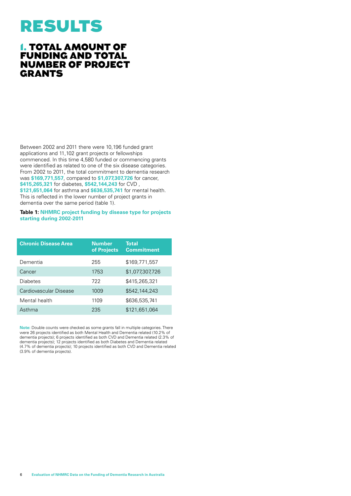## Results

### 1. Total amount of funding and total number of project **GRANTS**

Between 2002 and 2011 there were 10,196 funded grant applications and 11,102 grant projects or fellowships commenced. In this time 4,580 funded or commencing grants were identified as related to one of the six disease categories. From 2002 to 2011, the total commitment to dementia research was **\$169,771,557**, compared to **\$1,077,307,726** for cancer, **\$415,265,321** for diabetes, **\$542,144,243** for CVD , **\$121,651,064** for asthma and **\$636,535,741** for mental health. This is reflected in the lower number of project grants in dementia over the same period (table 1).

#### **Table 1: NHMRC project funding by disease type for projects starting during 2002-2011**

| <b>Chronic Disease Area</b> | <b>Number</b><br>of Projects | <b>Total</b><br><b>Commitment</b> |
|-----------------------------|------------------------------|-----------------------------------|
| Dementia                    | 255                          | \$169,771,557                     |
| Cancer                      | 1753                         | \$1,077,307,726                   |
| <b>Diabetes</b>             | 722                          | \$415.265.321                     |
| Cardiovascular Disease      | 1009                         | \$542,144,243                     |
| Mental health               | 1109                         | \$636,535,741                     |
| Asthma                      | 235                          | \$121,651,064                     |

**Note:** Double counts were checked as some grants fall in multiple categories. There were 26 projects identified as both Mental Health and Dementia related (10.2% of dementia projects); 6 projects identified as both CVD and Dementia related (2.3% of dementia projects); 12 projects identified as both Diabetes and Dementia related (4.7% of dementia projects); 10 projects identified as both CVD and Dementia related (3.9% of dementia projects).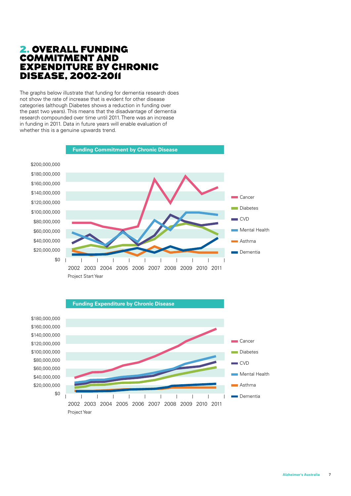### 2. Overall Funding Commitment and Expenditure by Chronic Disease, 2002-2011

The graphs below illustrate that funding for dementia research does not show the rate of increase that is evident for other disease categories (although Diabetes shows a reduction in funding over the past two years). This means that the disadvantage of dementia research compounded over time until 2011. There was an increase in funding in 2011. Data in future years will enable evaluation of whether this is a genuine upwards trend.



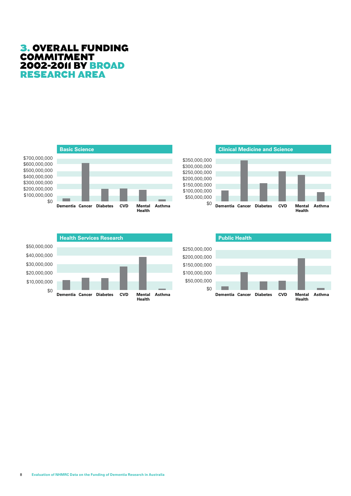### 3. Overall Funding **COMMITMENT** 2002-2011 by Broad RESEARCH AREA







\$250,000,000 \$200,000,000 \$150,000,000 \$100,000,000 \$50,000,000 \$0 **Public Health**

**Dementia Mental Asthma Cancer Diabetes CVD**

**Health**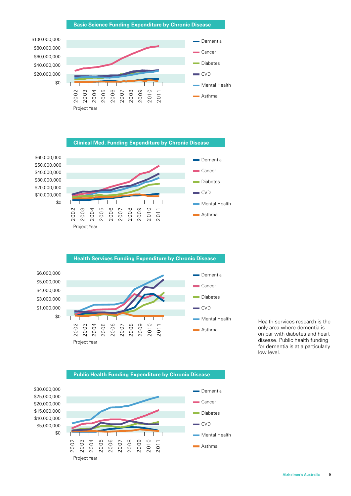

#### **Clinical Med. Funding Expenditure by Chronic Disease**



\$40,000,000 \$30,000,000 \$20,000,000 \$10,000,000







**Public Health Funding Expenditure by Chronic Disease**

Health services research is the only area where dementia is on par with diabetes and heart disease. Public health funding for dementia is at a particularly low level.

\$30,000,000 \$25,000,000 \$20,000,000 \$15,000,000 \$10,000,000 \$5,000,000 \$0

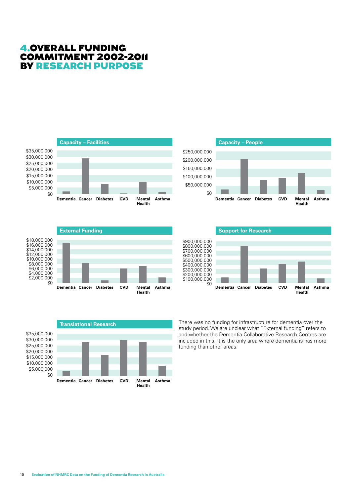









\$900,000,000 \$800,000,000 \$700,000,000 \$600,000,000 \$500,000,000 \$400,000,000 \$300,000,000 \$200,000,000 \$100,000,000 \$0 **Support for Research Dementia Mental Asthma Cancer Diabetes CVD Health**

There was no funding for infrastructure for dementia over the study period. We are unclear what "External funding" refers to and whether the Dementia Collaborative Research Centres are included in this. It is the only area where dementia is has more funding than other areas.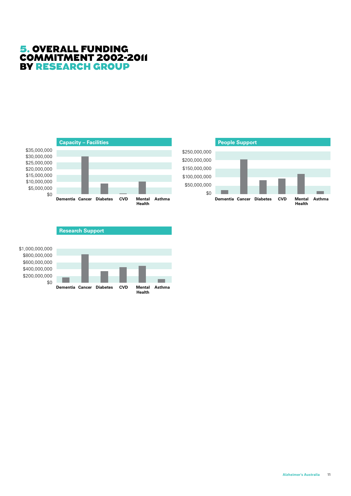### 5. Overall Funding Commitment 2002-2011 by Research Group





#### **Research Support**

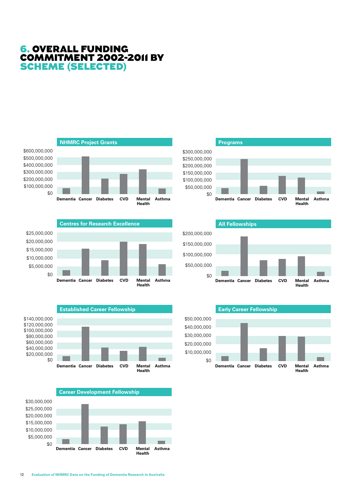### 6. Overall Funding Commitment 2002-2011 by Scheme (selected)













**Early Career Fellowship**



**Health**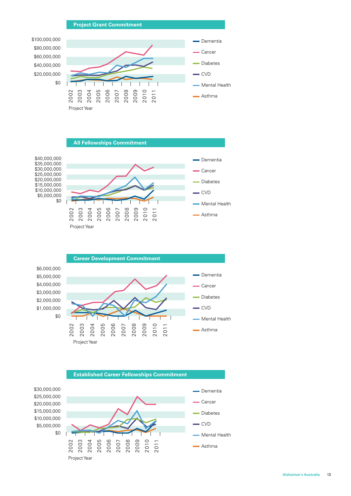





**Established Career Fellowships Commitment**

\$30,000,000 \$25,000,000 \$20,000,000 \$15,000,000 \$10,000,000 \$5,000,000 \$0

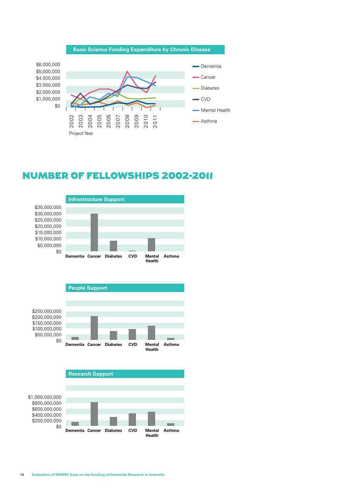

## Number of Fellowships 2002-2011







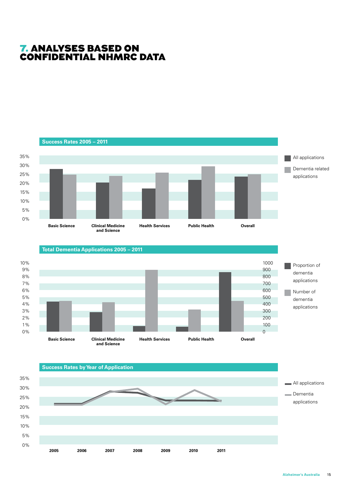## 7. Analyses based on confidential NHMRC data

0%



**2005 2011**

**2006 2007 2008 2009 2010**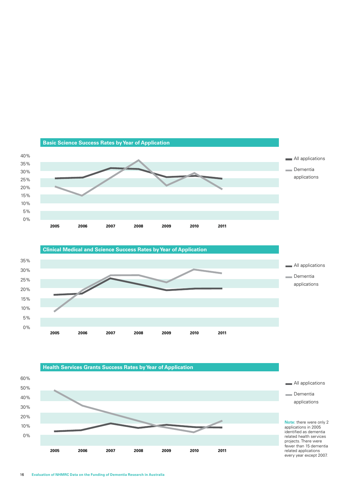



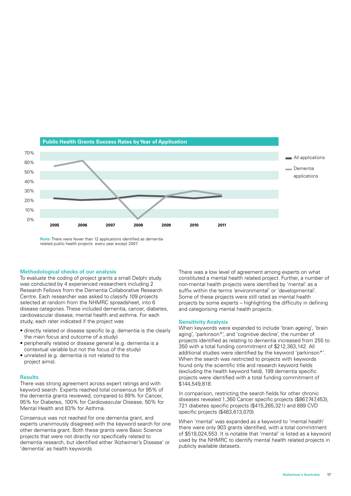

**Note:** There were fewer than 12 applications identified as dementia related public health projects every year except 2007.

#### **Methodological checks of our analysis**

To evaluate the coding of project grants a small Delphi study was conducted by 4 experienced researchers including 2 Research Fellows from the Dementia Collaborative Research Centre. Each researcher was asked to classify 109 projects selected at random from the NHMRC spreadsheet, into 6 disease categories. These included dementia, cancer, diabetes, cardiovascular disease, mental health and asthma. For each study, each rater indicated if the project was

- directly related or disease specific (e.g. dementia is the clearly the main focus and outcome of a study)
- peripherally related or disease general (e.g. dementia is a contextual variable but not the focus of the study)
- unrelated (e.g. dementia is not related to the project aims).

#### **Results**

There was strong agreement across expert ratings and with keyword search. Experts reached total consensus for 95% of the dementia grants reviewed, compared to 89% for Cancer, 95% for Diabetes, 100% for Cardiovascular Disease, 50% for Mental Health and 83% for Asthma.

Consensus was not reached for one dementia grant, and experts unanimously disagreed with the keyword search for one other dementia grant. Both these grants were Basic Science projects that were not directly nor specifically related to dementia research, but identified either 'Alzheimer's Disease' or 'dementia' as health keywords.

There was a low level of agreement among experts on what constituted a mental health related project. Further, a number of non-mental health projects were identified by 'mental' as a suffix within the terms 'environmental' or 'developmental'. Some of these projects were still rated as mental health projects by some experts – highlighting the difficulty in defining and categorising mental health projects.

#### **Sensitivity Analysis**

When keywords were expanded to include 'brain ageing', 'brain aging', 'parkinson\*', and 'cognitive decline', the number of projects identified as relating to dementia increased from 255 to 350 with a total funding commitment of \$212,363,142. All additional studies were identified by the keyword 'parkinson\*'. When the search was restricted to projects with keywords found only the scientific title and research keyword fields (excluding the health keyword field), 199 dementia specific projects were identified with a total funding commitment of \$144,549,818.

In comparison, restricting the search fields for other chronic diseases revealed 1,360 Cancer specific projects (\$867,747,453), 721 diabetes specific projects (\$415,265,321) and 889 CVD specific projects (\$483,613,070).

When 'mental' was expanded as a keyword to 'mental health' there were only 903 grants identified, with a total commitment of \$518,024,553. It is notable that 'mental' is listed as a keyword used by the NHMRC to identify mental health related projects in publicly available datasets.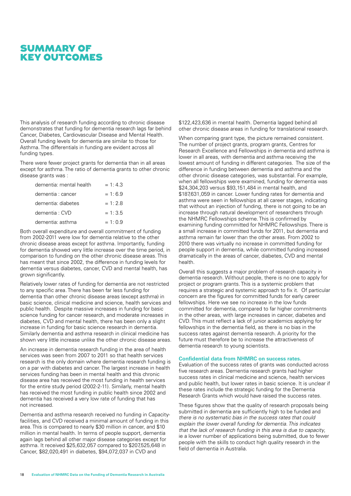## Summary of Key Outcomes

This analysis of research funding according to chronic disease demonstrates that funding for dementia research lags far behind Cancer, Diabetes, Cardiovascular Disease and Mental Health. Overall funding levels for dementia are similar to those for Asthma. The differentials in funding are evident across all funding types.

There were fewer project grants for dementia than in all areas except for asthma. The ratio of dementia grants to other chronic disease grants was :

| dementia: mental health | $= 1:4.3$ |
|-------------------------|-----------|
| dementia : cancer       | $= 1:6.9$ |
| dementia: diabetes      | $= 1:2.8$ |
| dementia : CVD          | $= 1:3.5$ |
| dementia: asthma        | $= 1:0.9$ |

Both overall expenditure and overall commitment of funding from 2002-2011 were low for dementia relative to the other chronic disease areas except for asthma. Importantly, funding for dementia showed very little increase over the time period, in comparison to funding on the other chronic disease areas. This has meant that since 2002, the difference in funding levels for dementia versus diabetes, cancer, CVD and mental health, has grown significantly.

Relatively lower rates of funding for dementia are not restricted to any specific area. There has been far less funding for dementia than other chronic disease areas (except asthma) in basic science, clinical medicine and science, health services and public health. Despite massive increases in funding for basic science funding for cancer research, and moderate increases in diabetes, CVD and mental health, there has been only a slight increase in funding for basic science research in dementia. Similarly dementia and asthma research in clinical medicine has shown very little increase unlike the other chronic disease areas.

An increase in dementia research funding in the area of health services was seen from 2007 to 2011 so that health services research is the only domain where dementia research funding is on a par with diabetes and cancer. The largest increase in health services funding has been in mental health and this chronic disease area has received the most funding in health services for the entire study period (2002-2-11). Similarly, mental health has received the most funding in public health since 2002 and dementia has received a very low rate of funding that has not increased.

Dementia and asthma research received no funding in Capacityfacilities, and CVD received a minimal amount of funding in this area. This is compared to nearly \$30 million in cancer, and \$10 million in mental health. In terms of people support, dementia again lags behind all other major disease categories except for asthma. It received \$25,632,057 compared to \$207,525,648 in Cancer, \$82,020,491 in diabetes, \$94,072,037 in CVD and

\$122,423,636 in mental health. Dementia lagged behind all other chronic disease areas in funding for translational research.

When comparing grant type, the picture remained consistent. The number of project grants, program grants, Centres for Research Excellence and Fellowships in dementia and asthma is lower in all areas, with dementia and asthma receiving the lowest amount of funding in different categories. The size of the difference in funding between dementia and asthma and the other chronic disease categories, was substantial. For example, when all fellowships were examined, funding for dementia was \$24,304,203 versus \$93,151,484 in mental health, and \$187,631,059 in cancer. Lower funding rates for dementia and asthma were seen in fellowships at all career stages, indicating that without an injection of funding, there is not going to be an increase through natural development of researchers through the NHMRC Fellowships scheme. This is confirmed by examining funding committed for NHMRC Fellowships. There is a small increase in committed funds for 2011, but dementia and asthma remain far lower than the other areas. From 2002 to 2010 there was virtually no increase in committed funding for people support in dementia, while committed funding increased dramatically in the areas of cancer, diabetes, CVD and mental health.

Overall this suggests a major problem of research capacity in dementia research. Without people, there is no one to apply for project or program grants. This is a systemic problem that requires a strategic and systemic approach to fix it. Of particular concern are the figures for committed funds for early career fellowships. Here we see no increase in the low funds committed for dementia, compared to far higher commitments in the other areas, with large increases in cancer, diabetes and CVD. This must reflect a lack of junior academics applying for fellowships in the dementia field, as there is no bias in the success rates against dementia research. A priority for the future must therefore be to increase the attractiveness of dementia research to young scientists.

#### **Confidential data from NHMRC on success rates.**

Evaluation of the success rates of grants was conducted across five research areas. Dementia research grants had higher success rates in clinical medicine and science, health services and public health, but lower rates in basic science. It is unclear if these rates include the strategic funding for the Dementia Research Grants which would have raised the success rates.

These figures show that the quality of research proposals being submitted in dementia are sufficiently high to be funded and *there is no systematic bias in the success rates that could explain the lower overall funding for dementia. This indicates that the lack of research funding in this area is due to capacity*, ie a lower number of applications being submitted, due to fewer people with the skills to conduct high quality research in the field of dementia in Australia.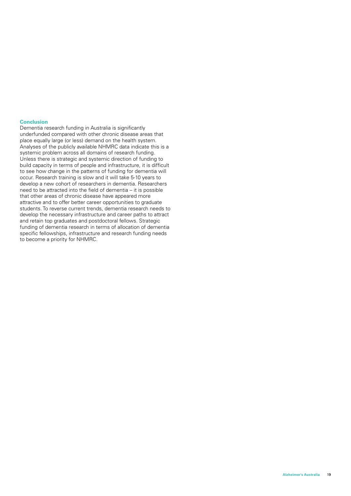#### **Conclusion**

Dementia research funding in Australia is significantly underfunded compared with other chronic disease areas that place equally large (or less) demand on the health system. Analyses of the publicly available NHMRC data indicate this is a systemic problem across all domains of research funding. Unless there is strategic and systemic direction of funding to build capacity in terms of people and infrastructure, it is difficult to see how change in the patterns of funding for dementia will occur. Research training is slow and it will take 5-10 years to develop a new cohort of researchers in dementia. Researchers need to be attracted into the field of dementia – it is possible that other areas of chronic disease have appeared more attractive and to offer better career opportunities to graduate students. To reverse current trends, dementia research needs to develop the necessary infrastructure and career paths to attract and retain top graduates and postdoctoral fellows. Strategic funding of dementia research in terms of allocation of dementia specific fellowships, infrastructure and research funding needs to become a priority for NHMRC.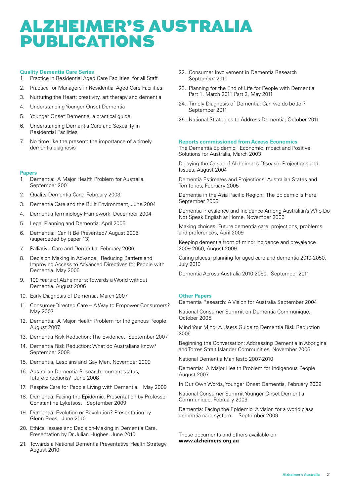## Alzheimer's Australia Publications

#### **Quality Dementia Care Series**

- 1. Practice in Residential Aged Care Facilities, for all Staff
- 2. Practice for Managers in Residential Aged Care Facilities
- 3. Nurturing the Heart: creativity, art therapy and dementia
- 4. Understanding Younger Onset Dementia
- 5. Younger Onset Dementia, a practical guide
- 6. Understanding Dementia Care and Sexuality in Residential Facilities
- 7. No time like the present: the importance of a timely dementia diagnosis

#### **Papers**

- 1. Dementia: A Major Health Problem for Australia. September 2001
- 2. Quality Dementia Care, February 2003
- 3. Dementia Care and the Built Environment, June 2004
- 4. Dementia Terminology Framework. December 2004
- 5. Legal Planning and Dementia. April 2005
- 6. Dementia: Can It Be Prevented? August 2005 (superceded by paper 13)
- 7. Palliative Care and Dementia. February 2006
- 8. Decision Making in Advance: Reducing Barriers and Improving Access to Advanced Directives for People with Dementia. May 2006
- 9. 100 Years of Alzheimer's: Towards a World without Dementia. August 2006
- 10. Early Diagnosis of Dementia. March 2007
- 11. Consumer-Directed Care A Way to Empower Consumers? May 2007
- 12. Dementia: A Major Health Problem for Indigenous People. August 2007.
- 13. Dementia Risk Reduction: The Evidence. September 2007
- 14. Dementia Risk Reduction: What do Australians know? September 2008
- 15. Dementia, Lesbians and Gay Men. November 2009
- 16. Australian Dementia Research: current status, future directions? June 2008
- 17. Respite Care for People Living with Dementia. May 2009
- 18. Dementia: Facing the Epidemic. Presentation by Professor Constantine Lyketsos. September 2009
- 19. Dementia: Evolution or Revolution? Presentation by Glenn Rees. June 2010
- 20. Ethical Issues and Decision-Making in Dementia Care. Presentation by Dr Julian Hughes. June 2010
- 21. Towards a National Dementia Preventative Health Strategy. August 2010
- 22. Consumer Involvement in Dementia Research September 2010
- 23. Planning for the End of Life for People with Dementia Part 1, March 2011 Part 2, May 2011
- 24. Timely Diagnosis of Dementia: Can we do better? September 2011
- 25. National Strategies to Address Dementia, October 2011

#### **Reports commissioned from Access Economics**

The Dementia Epidemic: Economic Impact and Positive Solutions for Australia, March 2003

Delaying the Onset of Alzheimer's Disease: Projections and Issues, August 2004

Dementia Estimates and Projections: Australian States and Territories, February 2005

Dementia in the Asia Pacific Region: The Epidemic is Here, September 2006

Dementia Prevalence and Incidence Among Australian's Who Do Not Speak English at Home, November 2006

Making choices: Future dementia care: projections, problems and preferences, April 2009

Keeping dementia front of mind: incidence and prevalence 2009-2050, August 2009

Caring places: planning for aged care and dementia 2010-2050. July 2010

Dementia Across Australia 2010-2050. September 2011

#### **Other Papers**

Dementia Research: A Vision for Australia September 2004

National Consumer Summit on Dementia Communique, October 2005

Mind Your Mind: A Users Guide to Dementia Risk Reduction 2006

Beginning the Conversation: Addressing Dementia in Aboriginal and Torres Strait Islander Communities, November 2006

National Dementia Manifesto 2007-2010

Dementia: A Major Health Problem for Indigenous People August 2007

In Our Own Words, Younger Onset Dementia, February 2009

National Consumer Summit Younger Onset Dementia Communique, February 2009

Dementia: Facing the Epidemic. A vision for a world class dementia care system. September 2009

These documents and others available on **www.alzheimers.org.au**